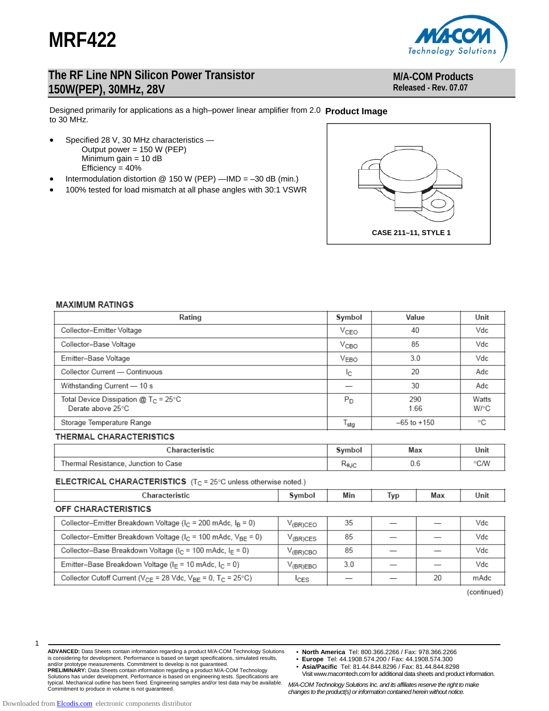



### **M/A-COM Products Released - Rev. 07.07**

Designed primarily for applications as a high–power linear amplifier from 2.0 **Product Image**  to 30 MHz.

- Specified 28 V, 30 MHz characteristics Output power = 150 W (PEP) Minimum gain = 10 dB Efficiency  $= 40%$
- Intermodulation distortion @ 150 W (PEP) —IMD = –30 dB (min.)
- 100% tested for load mismatch at all phase angles with 30:1 VSWR



#### **MAXIMUM RATINGS**

| Rating                                                                | Symbol                 | Value           | Unit          |  |  |
|-----------------------------------------------------------------------|------------------------|-----------------|---------------|--|--|
| Collector-Emitter Voltage                                             | V <sub>CEO</sub>       | 40              | Vdc           |  |  |
| Collector-Base Voltage                                                | 85<br>V <sub>CBO</sub> |                 |               |  |  |
| Emitter-Base Voltage                                                  | 3.0<br>VEBO            |                 |               |  |  |
| Collector Current - Continuous                                        | Ιc                     | 20              | Adc           |  |  |
| Withstanding Current - 10 s                                           | 30                     |                 | Adc           |  |  |
| Total Device Dissipation @ T <sub>C</sub> = 25°C<br>Derate above 25°C | P <sub>D</sub>         | 290<br>1.66     | Watts<br>W/°C |  |  |
| Storage Temperature Range                                             | <sup>l</sup> stg       | $-65$ to $+150$ | °C            |  |  |

### THERMAL CHARACTERISTICS

| ∵haracteristic                                |  | Max | Unit |
|-----------------------------------------------|--|-----|------|
| Thermal,<br>to Case<br>Junction<br>Resistance |  | U.b | ∘C∕W |

#### **ELECTRICAL CHARACTERISTICS** ( $T_C = 25^\circ$ C unless otherwise noted.)

| Characteristic                                                                      | Symbol             | Min | Typ | Max | Unit |  |
|-------------------------------------------------------------------------------------|--------------------|-----|-----|-----|------|--|
| OFF CHARACTERISTICS                                                                 |                    |     |     |     |      |  |
| Collector-Emitter Breakdown Voltage (I <sub>C</sub> = 200 mAdc, I <sub>B</sub> = 0) | $V_{(BR)CEO}$      | 35  |     |     | Vdc  |  |
| Collector-Emitter Breakdown Voltage ( $I_C$ = 100 mAdc, $V_{BF}$ = 0)               | $V_{(BR)CES}$      | 85  |     |     | Vdc  |  |
| Collector-Base Breakdown Voltage ( $I_C$ = 100 mAdc, $I_F$ = 0)                     | $V_{\rm (BR) CBO}$ | 85  |     |     | Vdc  |  |
| Emitter-Base Breakdown Voltage (I <sub>F</sub> = 10 mAdc, I <sub>C</sub> = 0)       | $V_{\sf (BR) EBO}$ | 3.0 |     |     | Vdc  |  |
| Collector Cutoff Current ( $V_{CF}$ = 28 Vdc, $V_{RF}$ = 0, $T_C$ = 25°C)           | <b>ICES</b>        |     |     | 20  | mAdc |  |

(continued)

| ۰. |  |  |
|----|--|--|
|    |  |  |
|    |  |  |
|    |  |  |
|    |  |  |

**ADVANCED:** Data Sheets contain information regarding a product M/A-COM Technology Solutions is considering for development. Performance is based on target specifications, simulated results, and/or prototype measurements. Commitment to develop is not guaranteed. **PRELIMINARY:** Data Sheets contain information regarding a product M/A-COM Technology Solutions has under development. Performance is based on engineering tests. Specifications are<br>typical. Mechanical outline has been fixed. Engineering samples and/or test data may be available.<br>Commitment to produce in vol

- **North America** Tel: 800.366.2266 / Fax: 978.366.2266
- **Europe** Tel: 44.1908.574.200 / Fax: 44.1908.574.300
- **Asia/Pacific** Tel: 81.44.844.8296 / Fax: 81.44.844.8298 Visit www.macomtech.com for additional data sheets and product information.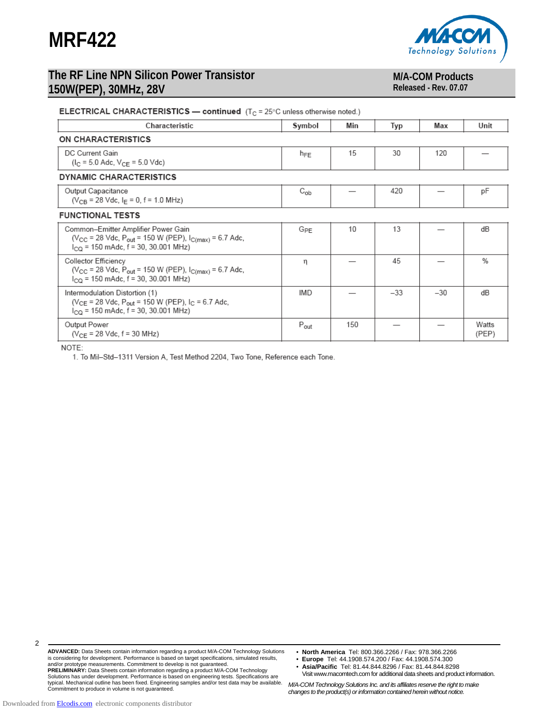



# **M/A-COM Products**

**Released - Rev. 07.07** 

### **ELECTRICAL CHARACTERISTICS — continued**  $(T_C = 25^\circ C$  unless otherwise noted.)

| Characteristic                                                                                                                                                  | Symbol           | Min | Typ   | Max   | Unit           |  |  |
|-----------------------------------------------------------------------------------------------------------------------------------------------------------------|------------------|-----|-------|-------|----------------|--|--|
| ON CHARACTERISTICS                                                                                                                                              |                  |     |       |       |                |  |  |
| DC Current Gain<br>$(I_C = 5.0$ Adc, $V_{CF} = 5.0$ Vdc)                                                                                                        | $h_{FE}$         | 15  | 30    | 120   |                |  |  |
| <b>DYNAMIC CHARACTERISTICS</b>                                                                                                                                  |                  |     |       |       |                |  |  |
| Output Capacitance<br>$(V_{CB} = 28$ Vdc, $I_F = 0$ , f = 1.0 MHz)                                                                                              | $C_{ob}$         |     | 420   |       | pF             |  |  |
| <b>FUNCTIONAL TESTS</b>                                                                                                                                         |                  |     |       |       |                |  |  |
| Common-Emitter Amplifier Power Gain<br>( $V_{CC}$ = 28 Vdc, P <sub>out</sub> = 150 W (PEP), $I_{C(max)}$ = 6.7 Adc,<br>$I_{CO}$ = 150 mAdc, f = 30, 30.001 MHz) | G <sub>PE</sub>  | 10  | 13    |       | dB             |  |  |
| Collector Efficiency<br>( $V_{CC}$ = 28 Vdc, P <sub>out</sub> = 150 W (PEP), $I_{C(max)}$ = 6.7 Adc,<br>$I_{\text{CQ}}$ = 150 mAdc, f = 30, 30.001 MHz)         | n                |     | 45    |       | $\%$           |  |  |
| Intermodulation Distortion (1)<br>( $V_{CE}$ = 28 Vdc, $P_{out}$ = 150 W (PEP), $I_C$ = 6.7 Adc,<br>$I_{CO}$ = 150 mAdc, f = 30, 30.001 MHz)                    | IMD              |     | $-33$ | $-30$ | dB             |  |  |
| Output Power<br>$(V_{CF} = 28$ Vdc, $f = 30$ MHz)                                                                                                               | $P_{\text{out}}$ | 150 |       |       | Watts<br>(PEP) |  |  |

NOTE:

1. To Mil-Std-1311 Version A, Test Method 2204, Two Tone, Reference each Tone.

 $\mathfrak{p}$ 

- **North America** Tel: 800.366.2266 / Fax: 978.366.2266
- **Europe** Tel: 44.1908.574.200 / Fax: 44.1908.574.300
- **Asia/Pacific** Tel: 81.44.844.8296 / Fax: 81.44.844.8298 Visit www.macomtech.com for additional data sheets and product information.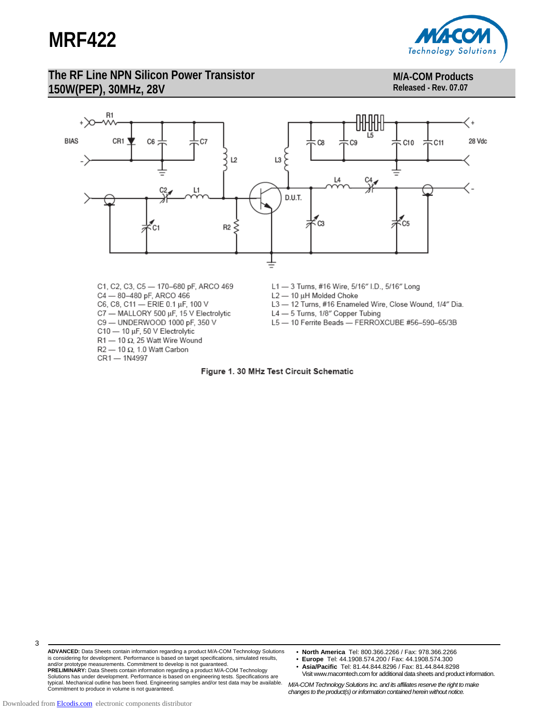

### **M/A-COM Products Released - Rev. 07.07**



- 
- C7 MALLORY 500 µF, 15 V Electrolytic
- C9 UNDERWOOD 1000 pF, 350 V
- C10 10 µF, 50 V Electrolytic
- R1 10  $\Omega$ , 25 Watt Wire Wound
- R2 10  $\Omega$ , 1.0 Watt Carbon

CR1 - 1N4997

- 
- L4 5 Turns, 1/8" Copper Tubing
- L5-10 Ferrite Beads-FERROXCUBE #56-590-65/3B



- **North America** Tel: 800.366.2266 / Fax: 978.366.2266
- **Europe** Tel: 44.1908.574.200 / Fax: 44.1908.574.300
- **Asia/Pacific** Tel: 81.44.844.8296 / Fax: 81.44.844.8298 Visit www.macomtech.com for additional data sheets and product information.

*M/A-COM Technology Solutions Inc. and its affiliates reserve the right to make changes to the product(s) or information contained herein without notice.* 

3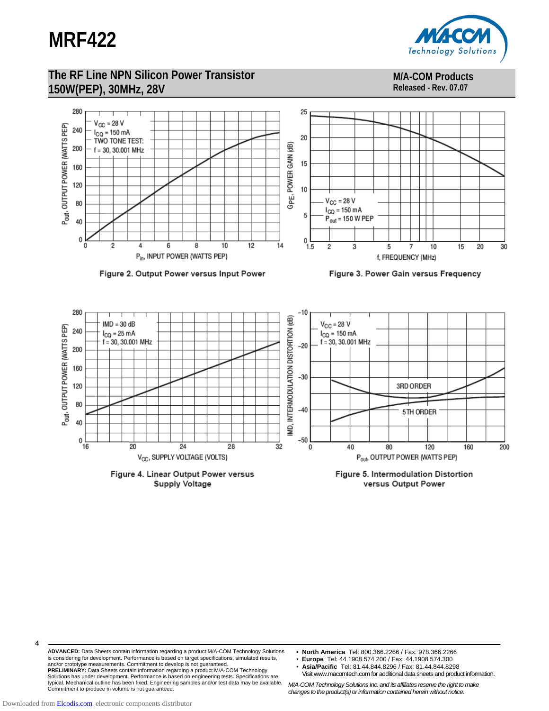

#### **M/A-COM Products Released - Rev. 07.07**



Figure 2. Output Power versus Input Power

**Supply Voltage** 

Figure 3. Power Gain versus Frequency



versus Output Power

**ADVANCED:** Data Sheets contain information regarding a product M/A-COM Technology Solutions is considering for development. Performance is based on target specifications, simulated results, and/or prototype measurements. Commitment to develop is not guaranteed. **PRELIMINARY:** Data Sheets contain information regarding a product M/A-COM Technology Solutions has under development. Performance is based on engineering tests. Specifications are<br>typical. Mechanical outline has been fixed. Engineering samples and/or test data may be available.<br>Commitment to produce in vol

- **North America** Tel: 800.366.2266 / Fax: 978.366.2266
- **Europe** Tel: 44.1908.574.200 / Fax: 44.1908.574.300
- **Asia/Pacific** Tel: 81.44.844.8296 / Fax: 81.44.844.8298 Visit www.macomtech.com for additional data sheets and product information.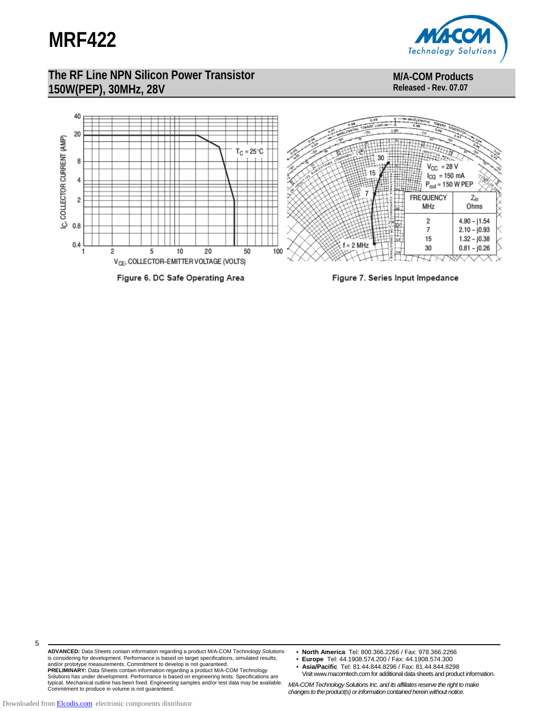

**M/A-COM Products Released - Rev. 07.07** 



5

**ADVANCED:** Data Sheets contain information regarding a product M/A-COM Technology Solutions is considering for development. Performance is based on target specifications, simulated results, and/or prototype measurements. Commitment to develop is not guaranteed. **PRELIMINARY:** Data Sheets contain information regarding a product M/A-COM Technology Solutions has under development. Performance is based on engineering tests. Specifications are<br>typical. Mechanical outline has been fixed. Engineering samples and/or test data may be available.<br>Commitment to produce in vol

- **North America** Tel: 800.366.2266 / Fax: 978.366.2266
- **Europe** Tel: 44.1908.574.200 / Fax: 44.1908.574.300
- **Asia/Pacific** Tel: 81.44.844.8296 / Fax: 81.44.844.8298 Visit www.macomtech.com for additional data sheets and product information.